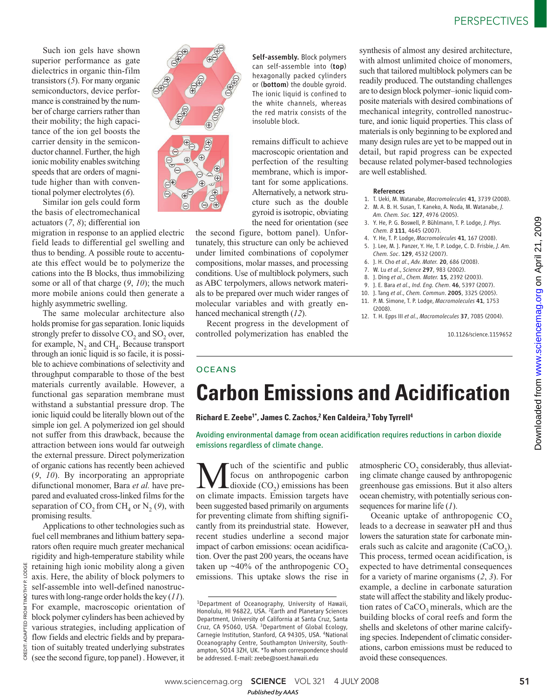Such ion gels have shown superior performance as gate dielectrics in organic thin-film transistors (*5*). For many organic semiconductors, device performance is constrained by the number of charge carriers rather than their mobility; the high capacitance of the ion gel boosts the carrier density in the semiconductor channel. Further, the high ionic mobility enables switching speeds that are orders of magnitude higher than with conventional polymer electrolytes (*6*).

Similar ion gels could form the basis of electromechanical actuators (*7*, *8*); differential ion

migration in response to an applied electric field leads to differential gel swelling and thus to bending. A possible route to accentuate this effect would be to polymerize the cations into the B blocks, thus immobilizing some or all of that charge (*9*, *10*); the much more mobile anions could then generate a highly asymmetric swelling.

The same molecular architecture also holds promise for gas separation. Ionic liquids strongly prefer to dissolve  $\mathrm{CO}_2$  and  $\mathrm{SO}_2$  over, for example,  $N_2$  and CH<sub>4</sub>. Because transport through an ionic liquid is so facile, it is possible to achieve combinations of selectivity and throughput comparable to those of the best materials currently available. However, a functional gas separation membrane must withstand a substantial pressure drop. The ionic liquid could be literally blown out of the simple ion gel. A polymerized ion gel should not suffer from this drawback, because the attraction between ions would far outweigh the external pressure. Direct polymerization of organic cations has recently been achieved (*9*, *10*). By incorporating an appropriate difunctional monomer, Bara *et al.* have prepared and evaluated cross-linked films for the separation of  $CO_2$  from  $CH_4$  or  $N_2$  (9), with promising results.

Applications to other technologies such as fuel cell membranes and lithium battery separators often require much greater mechanical rigidity and high-temperature stability while retaining high ionic mobility along a given axis. Here, the ability of block polymers to self-assemble into well-defined nanostructures with long-range order holds the key (*11*). For example, macroscopic orientation of block polymer cylinders has been achieved by various strategies, including application of flow fields and electric fields and by preparation of suitably treated underlying substrates (see the second figure, top panel) . However, it

CREDIT: ADAPTED FROM TIMOTHY P. LODGE

CREDIT

THY P. LODGE

TOMI<sup>-</sup> FROM ADAPTED  $\bigoplus$ 

 $\Theta$ 

Self-assembly. Block polymers can self-assemble into (top) hexagonally packed cylinders or (bottom) the double gyroid. The ionic liquid is confined to the white channels, whereas the red matrix consists of the insoluble block.

remains difficult to achieve macroscopic orientation and perfection of the resulting membrane, which is important for some applications. Alternatively, a network structure such as the double gyroid is isotropic, obviating the need for orientation (see

the second figure, bottom panel). Unfortunately, this structure can only be achieved under limited combinations of copolymer compositions, molar masses, and processing conditions. Use of multiblock polymers, such as ABC terpolymers, allows network materials to be prepared over much wider ranges of molecular variables and with greatly enhanced mechanical strength (*12*).

Recent progress in the development of controlled polymerization has enabled the synthesis of almost any desired architecture, with almost unlimited choice of monomers, such that tailored multiblock polymers can be readily produced. The outstanding challenges are to design block polymer–ionic liquid composite materials with desired combinations of mechanical integrity, controlled nanostructure, and ionic liquid properties. This class of materials is only beginning to be explored and many design rules are yet to be mapped out in detail, but rapid progress can be expected because related polymer-based technologies are well established.

## References

- 1. T. Ueki, M. Watanabe, *Macromolecules* 41, 3739 (2008).
- 2. M. A. B. H. Susan, T. Kaneko, A. Noda, M. Watanabe, *J. Am. Chem. Soc.* 127, 4976 (2005).
- 3. Y. He, P. G. Boswell, P. Bühlmann, T. P. Lodge, *J. Phys. Chem. B* 111, 4645 (2007).
- 4. Y. He, T. P. Lodge, *Macromolecules* 41, 167 (2008).
- 5. J. Lee, M. J. Panzer, Y. He, T. P. Lodge, C. D. Frisbie, *J. Am. Chem. Soc*. 129, 4532 (2007).
- 6. J. H. Cho *et al*., *Adv. Mater.* 20, 686 (2008).
- 7. W. Lu *et al*., *Science* 297, 983 (2002).
- 8. J. Ding *et al*., *Chem. Mater.* 15, 2392 (2003).
- 9. J. E. Bara *et al*., *Ind. Eng. Chem*. 46, 5397 (2007).
- 10. J. Tang *et al*., *Chem. Commun*. 2005, 3325 (2005).
- 11. P. M. Simone, T. P. Lodge, *Macromolecules* 41, 1753 (2008).
- 12. T. H. Epps III *et al*., *Macromolecules* 37, 7085 (2004).

10.1126/science.1159652

## **OCEANS**

# **Carbon Emissions and Acidification**

**Richard E. Zeebe1\*, James C. Zachos,<sup>2</sup> Ken Caldeira,<sup>3</sup> Toby Tyrrell<sup>4</sup>**

## Avoiding environmental damage from ocean acidification requires reductions in carbon dioxide emissions regardless of climate change.

**M** focus on anthropogenic carbon<br>dioxide (CO<sub>2</sub>) emissions has been<br>on climate impacts. Emission targets have uch of the scientific and public focus on anthropogenic carbon dioxide  $(CO_2)$  emissions has been been suggested based primarily on arguments for preventing climate from shifting significantly from its preindustrial state. However, recent studies underline a second major impact of carbon emissions: ocean acidification. Over the past 200 years, the oceans have taken up  $\sim$ 40% of the anthropogenic CO<sub>2</sub> emissions. This uptake slows the rise in

atmospheric  $CO_2$  considerably, thus alleviating climate change caused by anthropogenic greenhouse gas emissions. But it also alters ocean chemistry, with potentially serious consequences for marine life (*1*).

Oceanic uptake of anthropogenic  $CO<sub>2</sub>$ leads to a decrease in seawater pH and thus lowers the saturation state for carbonate minerals such as calcite and aragonite  $(CaCO<sub>3</sub>)$ . This process, termed ocean acidification, is expected to have detrimental consequences for a variety of marine organisms (*2*, *3*). For example, a decline in carbonate saturation state will affect the stability and likely production rates of  $CaCO<sub>3</sub>$  minerals, which are the building blocks of coral reefs and form the shells and skeletons of other marine calcifying species. Independent of climatic considerations, carbon emissions must be reduced to avoid these consequences.

<sup>1</sup>Department of Oceanography, University of Hawaii, Honolulu, HI 96822, USA. <sup>2</sup>Earth and Planetary Sciences Department, University of California at Santa Cruz, Santa Cruz, CA 95060, USA. <sup>3</sup>Department of Global Ecology, Carnegie Institution, Stanford, CA 94305, USA. <sup>4</sup>National Oceanography Centre, Southampton University, Southampton, SO14 3ZH, UK. \*To whom correspondence should be addressed. E-mail: zeebe@soest.hawaii.edu